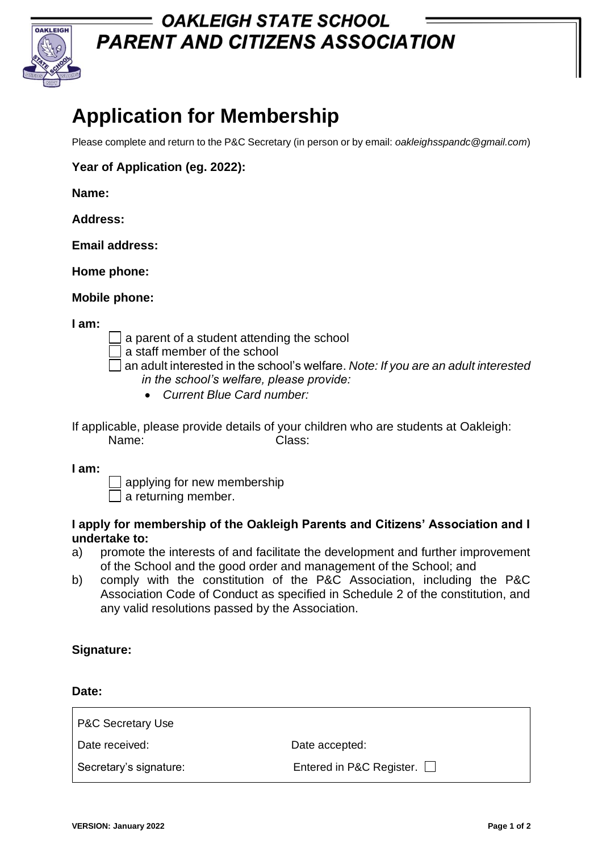

## **= OAKLEIGH STATE SCHOOL PARENT AND CITIZENS ASSOCIATION**

# **Application for Membership**

Please complete and return to the P&C Secretary (in person or by email: *oakleighsspandc@gmail.com*)

**Year of Application (eg. 2022):** 

**Name:** 

**Address:** 

**Email address:** 

**Home phone:** 

**Mobile phone:** 

**I am:**

a parent of a student attending the school

a staff member of the school

an adult interested in the school's welfare. *Note: If you are an adult interested in the school's welfare, please provide:*

- *Current Blue Card number:*
- If applicable, please provide details of your children who are students at Oakleigh: Name: Class:

**I am:**

 $\exists$  applying for new membership

 $\Box$  a returning member.

#### **I apply for membership of the Oakleigh Parents and Citizens' Association and I undertake to:**

- a) promote the interests of and facilitate the development and further improvement of the School and the good order and management of the School; and
- b) comply with the constitution of the P&C Association, including the P&C Association Code of Conduct as specified in Schedule 2 of the constitution, and any valid resolutions passed by the Association.

#### **Signature:**

**Date:**

| <b>P&amp;C Secretary Use</b> |                          |
|------------------------------|--------------------------|
| Date received:               | Date accepted:           |
| Secretary's signature:       | Entered in P&C Register. |